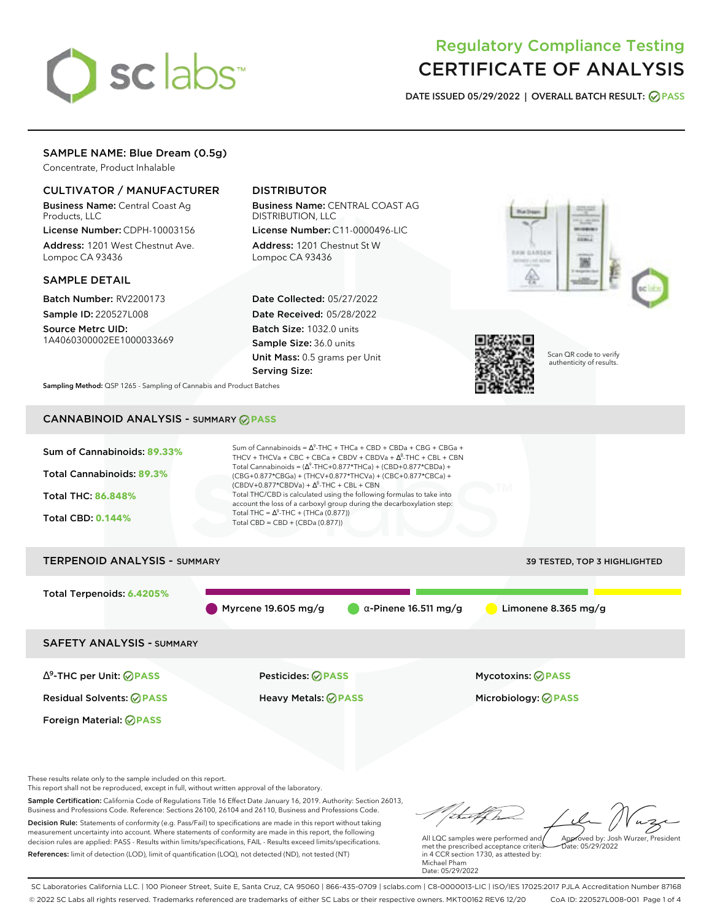# sclabs<sup>\*</sup>

# Regulatory Compliance Testing CERTIFICATE OF ANALYSIS

**DATE ISSUED 05/29/2022 | OVERALL BATCH RESULT: PASS**

#### SAMPLE NAME: Blue Dream (0.5g)

Concentrate, Product Inhalable

#### CULTIVATOR / MANUFACTURER

Business Name: Central Coast Ag Products, LLC

License Number: CDPH-10003156 Address: 1201 West Chestnut Ave. Lompoc CA 93436

#### SAMPLE DETAIL

Batch Number: RV2200173 Sample ID: 220527L008

Source Metrc UID: 1A4060300002EE1000033669

### DISTRIBUTOR

Business Name: CENTRAL COAST AG DISTRIBUTION, LLC License Number: C11-0000496-LIC

Address: 1201 Chestnut St W Lompoc CA 93436

Date Collected: 05/27/2022 Date Received: 05/28/2022 Batch Size: 1032.0 units Sample Size: 36.0 units Unit Mass: 0.5 grams per Unit Serving Size:





Scan QR code to verify authenticity of results.

**Sampling Method:** QSP 1265 - Sampling of Cannabis and Product Batches

## CANNABINOID ANALYSIS - SUMMARY **PASS**



These results relate only to the sample included on this report.

This report shall not be reproduced, except in full, without written approval of the laboratory.

Sample Certification: California Code of Regulations Title 16 Effect Date January 16, 2019. Authority: Section 26013, Business and Professions Code. Reference: Sections 26100, 26104 and 26110, Business and Professions Code. Decision Rule: Statements of conformity (e.g. Pass/Fail) to specifications are made in this report without taking measurement uncertainty into account. Where statements of conformity are made in this report, the following decision rules are applied: PASS - Results within limits/specifications, FAIL - Results exceed limits/specifications.

References: limit of detection (LOD), limit of quantification (LOQ), not detected (ND), not tested (NT)

Approved by: Josh Wurzer, President

 $hat: 05/29/2022$ 

All LQC samples were performed and met the prescribed acceptance criteria in 4 CCR section 1730, as attested by: Michael Pham Date: 05/29/2022

SC Laboratories California LLC. | 100 Pioneer Street, Suite E, Santa Cruz, CA 95060 | 866-435-0709 | sclabs.com | C8-0000013-LIC | ISO/IES 17025:2017 PJLA Accreditation Number 87168 © 2022 SC Labs all rights reserved. Trademarks referenced are trademarks of either SC Labs or their respective owners. MKT00162 REV6 12/20 CoA ID: 220527L008-001 Page 1 of 4